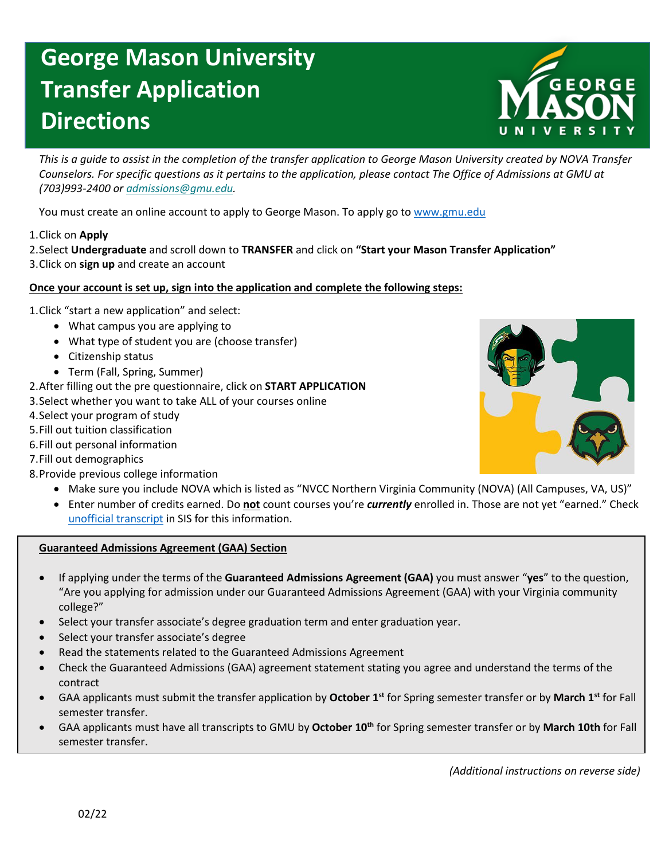# **George Mason University Transfer Application Directions**



*This is a guide to assist in the completion of the transfer application to George Mason University created by NOVA Transfer Counselors. For specific questions as it pertains to the application, please contact The Office of Admissions at GMU at (703)993-2400 or [admissions@gmu.edu.](mailto:admissions@gmu.edu)*

You must create an online account to apply to George Mason. To apply go to [www.gmu.edu](http://www.gmu.edu/)

## 1.Click on **Apply**

2.Select **Undergraduate** and scroll down to **TRANSFER** and click on **"Start your Mason Transfer Application"** 3.Click on **sign up** and create an account

## **Once your account is set up, sign into the application and complete the following steps:**

1.Click "start a new application" and select:

- What campus you are applying to
- What type of student you are (choose transfer)
- Citizenship status
- Term (Fall, Spring, Summer)
- 2.After filling out the pre questionnaire, click on **START APPLICATION**
- 3.Select whether you want to take ALL of your courses online
- 4.Select your program of study
- 5.Fill out tuition classification
- 6.Fill out personal information
- 7.Fill out demographics
- 8.Provide previous college information
	- Make sure you include NOVA which is listed as "NVCC Northern Virginia Community (NOVA) (All Campuses, VA, US)"
	- Enter number of credits earned. Do **not** count courses you're *currently* enrolled in. Those are not yet "earned." Check [unofficial transcript](https://www.nvcc.edu/novaconnect/students/tuts/academics/unofficial.html) in SIS for this information.

#### **Guaranteed Admissions Agreement (GAA) Section**

- If applying under the terms of the **Guaranteed Admissions Agreement (GAA)** you must answer "**yes**" to the question, "Are you applying for admission under our Guaranteed Admissions Agreement (GAA) with your Virginia community college?"
- Select your transfer associate's degree graduation term and enter graduation year.
- Select your transfer associate's degree
- Read the statements related to the Guaranteed Admissions Agreement
- Check the Guaranteed Admissions (GAA) agreement statement stating you agree and understand the terms of the contract
- GAA applicants must submit the transfer application by **October 1st** for Spring semester transfer or by **March 1st** for Fall semester transfer.
- GAA applicants must have all transcripts to GMU by **October 10th** for Spring semester transfer or by **March 10th** for Fall semester transfer.